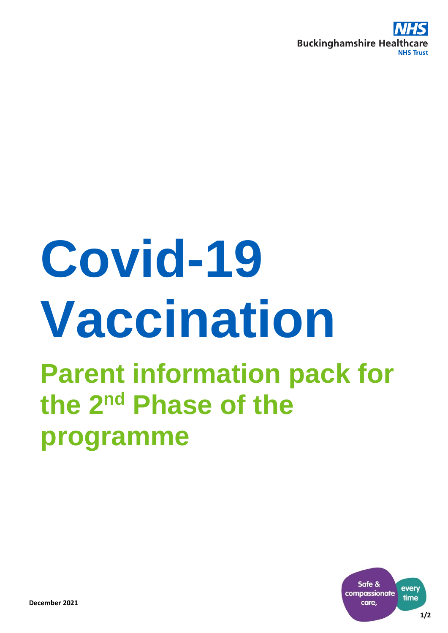

# **Covid-19 Vaccination**

# **Parent information pack for the 2nd Phase of the programme**

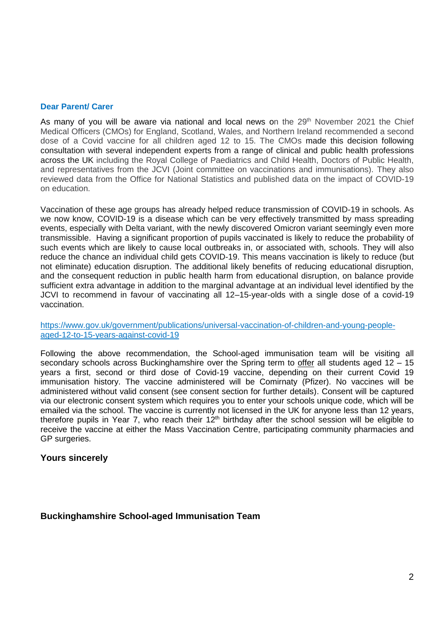#### **Dear Parent/ Carer**

As many of you will be aware via national and local news on the  $29<sup>th</sup>$  November 2021 the Chief Medical Officers (CMOs) for England, Scotland, Wales, and Northern Ireland recommended a second dose of a Covid vaccine for all children aged 12 to 15. The CMOs made this decision following consultation with several independent experts from a range of clinical and public health professions across the UK including the Royal College of Paediatrics and Child Health, Doctors of Public Health, and representatives from the JCVI (Joint committee on vaccinations and immunisations). They also reviewed data from the Office for National Statistics and published data on the impact of COVID-19 on education.

Vaccination of these age groups has already helped reduce transmission of COVID-19 in schools. As we now know, COVID-19 is a disease which can be very effectively transmitted by mass spreading events, especially with Delta variant, with the newly discovered Omicron variant seemingly even more transmissible. Having a significant proportion of pupils vaccinated is likely to reduce the probability of such events which are likely to cause local outbreaks in, or associated with, schools. They will also reduce the chance an individual child gets COVID-19. This means vaccination is likely to reduce (but not eliminate) education disruption. The additional likely benefits of reducing educational disruption, and the consequent reduction in public health harm from educational disruption, on balance provide sufficient extra advantage in addition to the marginal advantage at an individual level identified by the JCVI to recommend in favour of vaccinating all 12–15-year-olds with a single dose of a covid-19 vaccination.

[https://www.gov.uk/government/publications/universal-vaccination-of-children-and-young-people](https://www.gov.uk/government/publications/universal-vaccination-of-children-and-young-people-aged-12-to-15-years-against-covid-19)[aged-12-to-15-years-against-covid-19](https://www.gov.uk/government/publications/universal-vaccination-of-children-and-young-people-aged-12-to-15-years-against-covid-19)

Following the above recommendation, the School-aged immunisation team will be visiting all secondary schools across Buckinghamshire over the Spring term to offer all students aged 12 – 15 years a first, second or third dose of Covid-19 vaccine, depending on their current Covid 19 immunisation history. The vaccine administered will be Comirnaty (Pfizer). No vaccines will be administered without valid consent (see consent section for further details). Consent will be captured via our electronic consent system which requires you to enter your schools unique code, which will be emailed via the school. The vaccine is currently not licensed in the UK for anyone less than 12 years, therefore pupils in Year 7, who reach their  $12<sup>th</sup>$  birthday after the school session will be eligible to receive the vaccine at either the Mass Vaccination Centre, participating community pharmacies and GP surgeries.

# **Yours sincerely**

# **Buckinghamshire School-aged Immunisation Team**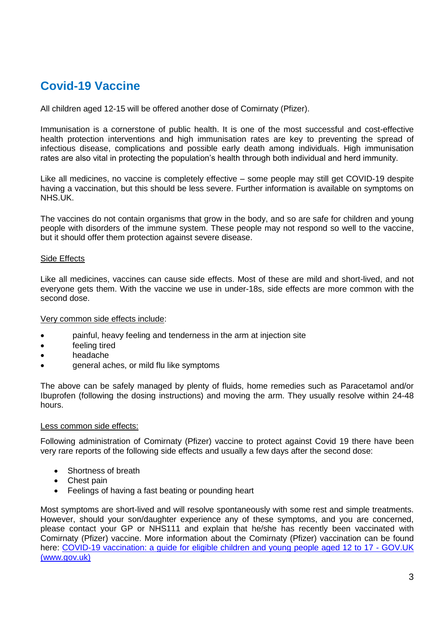# **Covid-19 Vaccine**

All children aged 12-15 will be offered another dose of Comirnaty (Pfizer).

Immunisation is a cornerstone of public health. It is one of the most successful and cost-effective health protection interventions and high immunisation rates are key to preventing the spread of infectious disease, complications and possible early death among individuals. High immunisation rates are also vital in protecting the population's health through both individual and herd immunity.

Like all medicines, no vaccine is completely effective – some people may still get COVID-19 despite having a vaccination, but this should be less severe. Further information is available on symptoms on NHS.UK.

The vaccines do not contain organisms that grow in the body, and so are safe for children and young people with disorders of the immune system. These people may not respond so well to the vaccine, but it should offer them protection against severe disease.

# Side Effects

Like all medicines, vaccines can cause side effects. Most of these are mild and short-lived, and not everyone gets them. With the vaccine we use in under-18s, side effects are more common with the second dose.

#### Very common side effects include:

- painful, heavy feeling and tenderness in the arm at injection site
- feeling tired
- headache
- general aches, or mild flu like symptoms

The above can be safely managed by plenty of fluids, home remedies such as Paracetamol and/or Ibuprofen (following the dosing instructions) and moving the arm. They usually resolve within 24-48 hours.

#### Less common side effects:

Following administration of Comirnaty (Pfizer) vaccine to protect against Covid 19 there have been very rare reports of the following side effects and usually a few days after the second dose:

- Shortness of breath
- Chest pain
- Feelings of having a fast beating or pounding heart

Most symptoms are short-lived and will resolve spontaneously with some rest and simple treatments. However, should your son/daughter experience any of these symptoms, and you are concerned, please contact your GP or NHS111 and explain that he/she has recently been vaccinated with Comirnaty (Pfizer) vaccine. More information about the Comirnaty (Pfizer) vaccination can be found here: [COVID-19 vaccination: a guide for eligible children and young people aged 12 to 17 -](https://www.gov.uk/government/publications/covid-19-vaccination-resources-for-children-and-young-people/covid-19-vaccination-a-guide-for-eligible-children-and-young-people-aged-12-to-17#consent) GOV.UK [\(www.gov.uk\)](https://www.gov.uk/government/publications/covid-19-vaccination-resources-for-children-and-young-people/covid-19-vaccination-a-guide-for-eligible-children-and-young-people-aged-12-to-17#consent)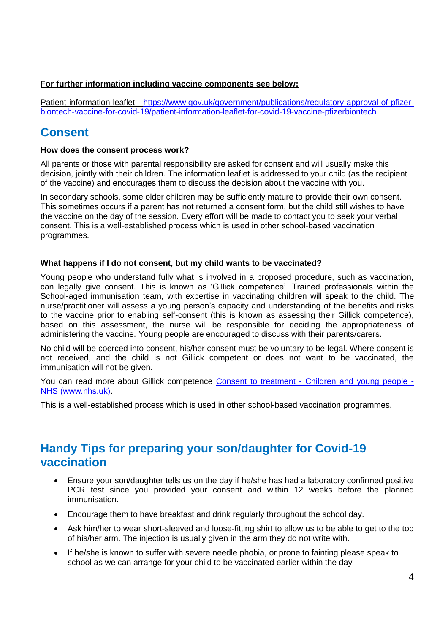# **For further information including vaccine components see below:**

Patient information leaflet - [https://www.gov.uk/government/publications/regulatory-approval-of-pfizer](https://www.gov.uk/government/publications/regulatory-approval-of-pfizer-biontech-vaccine-for-covid-19/patient-information-leaflet-for-covid-19-vaccine-pfizerbiontech)[biontech-vaccine-for-covid-19/patient-information-leaflet-for-covid-19-vaccine-pfizerbiontech](https://www.gov.uk/government/publications/regulatory-approval-of-pfizer-biontech-vaccine-for-covid-19/patient-information-leaflet-for-covid-19-vaccine-pfizerbiontech)

# **Consent**

# **How does the consent process work?**

All parents or those with parental responsibility are asked for consent and will usually make this decision, jointly with their children. The information leaflet is addressed to your child (as the recipient of the vaccine) and encourages them to discuss the decision about the vaccine with you.

In secondary schools, some older children may be sufficiently mature to provide their own consent. This sometimes occurs if a parent has not returned a consent form, but the child still wishes to have the vaccine on the day of the session. Every effort will be made to contact you to seek your verbal consent. This is a well-established process which is used in other school-based vaccination programmes.

# **What happens if I do not consent, but my child wants to be vaccinated?**

Young people who understand fully what is involved in a proposed procedure, such as vaccination, can legally give consent. This is known as 'Gillick competence'. Trained professionals within the School-aged immunisation team, with expertise in vaccinating children will speak to the child. The nurse/practitioner will assess a young person's capacity and understanding of the benefits and risks to the vaccine prior to enabling self-consent (this is known as assessing their Gillick competence), based on this assessment, the nurse will be responsible for deciding the appropriateness of administering the vaccine. Young people are encouraged to discuss with their parents/carers.

No child will be coerced into consent, his/her consent must be voluntary to be legal. Where consent is not received, and the child is not Gillick competent or does not want to be vaccinated, the immunisation will not be given.

You can read more about Gillick competence Consent to treatment - [Children and young people -](https://www.nhs.uk/conditions/consent-to-treatment/children/) [NHS \(www.nhs.uk\).](https://www.nhs.uk/conditions/consent-to-treatment/children/)

This is a well-established process which is used in other school-based vaccination programmes.

# **Handy Tips for preparing your son/daughter for Covid-19 vaccination**

- Ensure your son/daughter tells us on the day if he/she has had a laboratory confirmed positive PCR test since you provided your consent and within 12 weeks before the planned immunisation.
- Encourage them to have breakfast and drink regularly throughout the school day.
- Ask him/her to wear short-sleeved and loose-fitting shirt to allow us to be able to get to the top of his/her arm. The injection is usually given in the arm they do not write with.
- If he/she is known to suffer with severe needle phobia, or prone to fainting please speak to school as we can arrange for your child to be vaccinated earlier within the day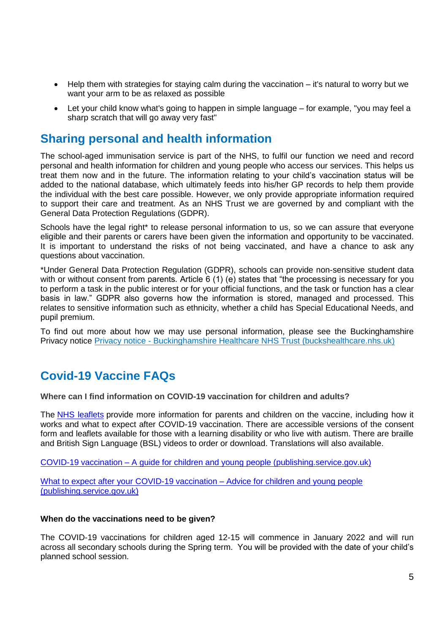- Help them with strategies for staying calm during the vaccination it's natural to worry but we want your arm to be as relaxed as possible
- Let your child know what's going to happen in simple language for example, "you may feel a sharp scratch that will go away very fast"

# **Sharing personal and health information**

The school-aged immunisation service is part of the NHS, to fulfil our function we need and record personal and health information for children and young people who access our services. This helps us treat them now and in the future. The information relating to your child's vaccination status will be added to the national database, which ultimately feeds into his/her GP records to help them provide the individual with the best care possible. However, we only provide appropriate information required to support their care and treatment. As an NHS Trust we are governed by and compliant with the General Data Protection Regulations (GDPR).

Schools have the legal right<sup>\*</sup> to release personal information to us, so we can assure that everyone eligible and their parents or carers have been given the information and opportunity to be vaccinated. It is important to understand the risks of not being vaccinated, and have a chance to ask any questions about vaccination.

\*Under General Data Protection Regulation (GDPR), schools can provide non-sensitive student data with or without consent from parents. Article 6 (1) (e) states that "the processing is necessary for you to perform a task in the public interest or for your official functions, and the task or function has a clear basis in law." GDPR also governs how the information is stored, managed and processed. This relates to sensitive information such as ethnicity, whether a child has Special Educational Needs, and pupil premium.

To find out more about how we may use personal information, please see the Buckinghamshire Privacy notice Privacy notice - [Buckinghamshire Healthcare NHS Trust \(buckshealthcare.nhs.uk\)](https://www.buckshealthcare.nhs.uk/privacy-notice/)

# **Covid-19 Vaccine FAQs**

**Where can I find information on COVID-19 vaccination for children and adults?**

The NHS [leaflets](https://www.gov.uk/government/publications/covid-19-vaccination-resources-for-children-and-young-people) provide more information for parents and children on the vaccine, including how it works and what to expect after COVID-19 vaccination. There are accessible versions of the consent form and leaflets available for those with a learning disability or who live with autism. There are braille and British Sign Language (BSL) videos to order or download. Translations will also available.

COVID-19 vaccination – [A guide for children and young people \(publishing.service.gov.uk\)](https://assets.publishing.service.gov.uk/government/uploads/system/uploads/attachment_data/file/1017171/PHE_12073_COVID-19_guide_for_all_CYP.pdf)

What to expect after your COVID-19 vaccination – [Advice for children and young people](https://assets.publishing.service.gov.uk/government/uploads/system/uploads/attachment_data/file/1008090/PHE_12073_COVID-19_What_to_expect_CYP_leaflet.pdf)  [\(publishing.service.gov.uk\)](https://assets.publishing.service.gov.uk/government/uploads/system/uploads/attachment_data/file/1008090/PHE_12073_COVID-19_What_to_expect_CYP_leaflet.pdf) 

# **When do the vaccinations need to be given?**

The COVID-19 vaccinations for children aged 12-15 will commence in January 2022 and will run across all secondary schools during the Spring term. You will be provided with the date of your child's planned school session.